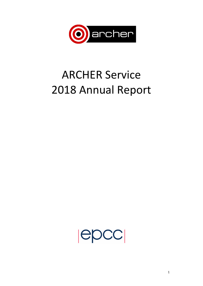

# **ARCHER Service** 2018 Annual Report

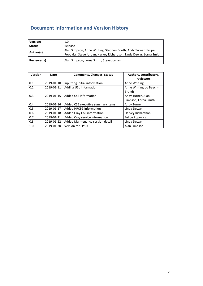# **Document Information and Version History**

| <b>Version:</b> | 1.0                                                                                                                                   |
|-----------------|---------------------------------------------------------------------------------------------------------------------------------------|
| <b>Status</b>   | Release                                                                                                                               |
| Author(s):      | Alan Simpson, Anne Whiting, Stephen Booth, Andy Turner, Felipe<br>Popovics, Steve Jordan, Harvey Richardson, Linda Dewar, Lorna Smith |
| Reviewer(s)     | Alan Simpson, Lorna Smith, Steve Jordan                                                                                               |

| <b>Version</b> | Date       | <b>Comments, Changes, Status</b>         | Authors, contributors,<br>reviewers       |  |
|----------------|------------|------------------------------------------|-------------------------------------------|--|
| 0.1            | 2019-01-10 | Inputting initial information            | Anne Whiting                              |  |
| 0.2            | 2019-01-11 | Adding USL information                   | Anne Whiting, Jo Beech-<br><b>Brandt</b>  |  |
| 0.3            | 2019-01-15 | Added CSE information                    | Andy Turner, Alan<br>Simpson, Lorna Smith |  |
| 0.4            | 2019-01-16 | Added CSE executive summary items        | Andy Turner                               |  |
| 0.5            | 2019-01-17 | <b>Added HPCSG information</b>           | Linda Dewar                               |  |
| 0.6            | 2019-01-18 | Added Cray CoE information               | Harvey Richardson                         |  |
| 0.7            | 2019-01-21 | Added Cray service information           | <b>Felipe Popovics</b>                    |  |
| 0.8            | 2019-01-22 | Added Maintenance session detail         | Linda Dewar                               |  |
| 1.0            | 2019-01-30 | <b>Version for EPSRC</b><br>Alan Simpson |                                           |  |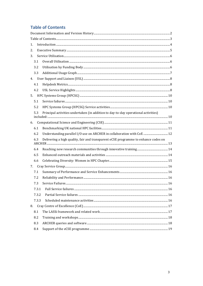# **Table of Contents**

| 1. |       |                                                                                    |  |
|----|-------|------------------------------------------------------------------------------------|--|
| 2. |       |                                                                                    |  |
| 3. |       |                                                                                    |  |
|    | 3.1   |                                                                                    |  |
|    | 3.2   |                                                                                    |  |
|    | 3.3   |                                                                                    |  |
|    |       |                                                                                    |  |
|    | 4.1   |                                                                                    |  |
|    | 4.2   |                                                                                    |  |
| 5. |       |                                                                                    |  |
|    | 5.1   |                                                                                    |  |
|    | 5.2   |                                                                                    |  |
|    | 5.3   | Principal activities undertaken (in addition to day-to-day operational activities) |  |
| 6. |       |                                                                                    |  |
|    | 6.1   |                                                                                    |  |
|    | 6.2   | Understanding parallel I/O use on ARCHER in collaboration with CoE  12             |  |
|    | 6.3   | Delivering a high quality, fair and transparent eCSE programme to enhance codes on |  |
|    | 6.4   |                                                                                    |  |
|    |       |                                                                                    |  |
|    | 6.5   |                                                                                    |  |
|    | 6.6   |                                                                                    |  |
| 7. |       |                                                                                    |  |
|    | 7.1   |                                                                                    |  |
|    | 7.2   |                                                                                    |  |
|    | 7.3   |                                                                                    |  |
|    | 7.3.1 |                                                                                    |  |
|    | 7.3.2 |                                                                                    |  |
|    | 7.3.3 |                                                                                    |  |
| 8. |       |                                                                                    |  |
|    | 8.1   |                                                                                    |  |
|    | 8.2   |                                                                                    |  |
|    | 8.3   |                                                                                    |  |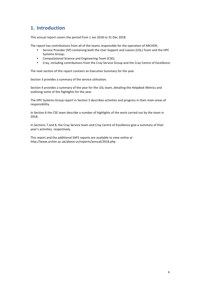# **1. Introduction**

This annual report covers the period from 1 Jan 2018 to 31 Dec 2018.

The report has contributions from all of the teams responsible for the operation of ARCHER;

- Service Provider (SP) containing both the User Support and Liaison (USL) Team and the HPC Systems Group;
- Computational Science and Engineering Team (CSE);
- Cray, including contributions from the Cray Service Group and the Cray Centre of Excellence.

The next section of this report contains an Executive Summary for the year.

Section 3 provides a summary of the service utilisation.

Section 4 provides a summary of the year for the USL team, detailing the Helpdesk Metrics and outlining some of the highlights for the year.

The HPC Systems Group report in Section 5 describes activities and progress in their main areas of responsibility.

In Section 6 the CSE team describe a number of highlights of the work carried out by the team in 2018. 

In Sections 7 and 8, the Cray Service team and Cray Centre of Excellence give a summary of their year's activities, respectively.

This report and the additional SAFE reports are available to view online at http://www.archer.ac.uk/about-us/reports/annual/2018.php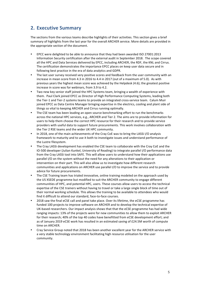# **2. Executive Summary**

The sections from the various teams describe highlights of their activities. This section gives a brief summary of highlights from the last year for the overall ARCHER service. More details are provided in the appropriate section of the document.

- EPCC were delighted to be able to announce that they had been awarded ISO 27001:2013 Information Security certification after the external audit in September 2018. The scope covered all the HPC and Data Services delivered by EPCC, including ARCHER, the RDF, the KNL and Cirrus. The certification demonstrates the importance EPCC places on keep user data secure and in following best practice in the era of data analytics and GDPR.
- The last user survey received very positive scores and feedback from the user community with an increase in mean score from 4.3 in 2016 to 4.4 in 2017 (out of a maximum of 5.0). As with previous years the highest mean score was achieved by the Helpdesk (4.6); the greatest positive increase in score was for webinars, from 3.9 to 4.2.
- Two new key senior staff joined the HPC Systems team, bringing a wealth of experience with them. Paul Clark joined EPCC as Director of High Performance Computing Systems, leading both the Tier-1 and Tier-2 systems teams to provide an integrated cross-service team. Calum Muir joined EPCC as Data Centre Manager bringing expertise in the electrics, cooling and plant side of things so vital to keeping ARCHER and Cirrus running optimally.
- The CSE team has been leading an open source benchmarking effort to run the benchmarks across the national HPC services, e.g., ARCHER and Tier 2. The aims are to provide information for users to help them choose the correct HPC resource for their research and to provide service providers with useful data to support future procurements. This work involves collaboration with the Tier 2 RSE teams and the wider UK HPC community.
- In 2018, one of the main achievements of the Cray CoE was to bring the LASSi I/O analysis framework to maturity and to use it both to investigate issues and understand performance of the Lustre filesystem.
- The Cray LASSi development has enabled the CSE team to collaborate with the Cray CoE and the IO-500 developer (Julian Kunkel, University of Reading) to integrate parallel I/O performance data from the Cray LASSi tool into SAFE. This will allow users to understand how their applications use parallel I/O on the system without the need for any alterations to their application or intervention on their part. This will also allow us to investigate how different research communities and applications on ARCHER use parallel I/O to improve the service and to provide advice for future procurements.
- The CSE Training team has trialed innovative, online training modeled on the approach used by the US XSEDE programme but modified to suit the ARCHER community to engage different communities of HPC, and potential HPC, users. These courses allow users to access the technical expertise of the CSE trainers without having to travel or take a large single block of time out of their normal working schedule. This allows the training to be available to attendees who would find it difficult to attend our standard, face-to-face courses.
- 2018 saw the final eCSE call and panel take place. Over its lifetime, the eCSE programme has funded 100 projects to improve software on ARCHER and to develop the technical expertise of UK-based researchers. Our impact analysis shows that that the eCSE programme has had wide ranging impacts: 13% of the projects were for new communities to allow them to exploit ARCHER for their research; 40% of the top 40 codes have benefitted from eCSE development effort; and as of January 2019 eCSE work has resulted in an estimated saving of £24.5M worth of compute time on ARCHER.
- Cray Service Group noted that 2018 has been another excellent year for the ARCHER service with a very stable technology environment facilitating high resource utilisation for the user community.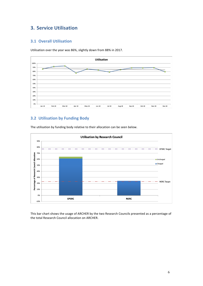# **3. Service Utilisation**

# **3.1 Overall Utilisation**

Utilisation over the year was 86%, slightly down from 88% in 2017.



# **3.2 Utilisation by Funding Body**



The utilisation by funding body relative to their allocation can be seen below.

This bar chart shows the usage of ARCHER by the two Research Councils presented as a percentage of the total Research Council allocation on ARCHER.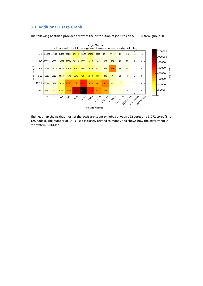## **3.3 Additional Usage Graph**

The following heatmap provides a view of the distribution of job sizes on ARCHER throughout 2018.



The heatmap shows that most of the kAUs are spent on jobs between 192 cores and 3,072 cores (8 to 128 nodes). The number of kAUs used is closely related to money and shows how the investment in the system is utilised.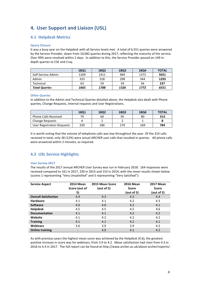# **4.** User Support and Liaison (USL)

# **4.1 Helpdesk Metrics**

#### **Query Closure**

It was a busy year on the Helpdesk with all Service levels met. A total of 6,551 queries were answered by the Service Provider, down from 10,082 queries during 2017, reflecting the maturity of the service. Over 99% were resolved within 2 days. In addition to this, the Service Provider passed on 149 indepth queries to CSE and Cray.

|                      | 18Q1 | 18Q2 | 18Q3 | 18Q4 | <b>TOTAL</b> |
|----------------------|------|------|------|------|--------------|
| Self-Service Admin   | 1269 | 1411 | 969  | 1372 | 5021         |
| Admin                | 333  | 318  | 298  | 344  | 1293         |
| Technical            | 63   | 59   | 59   | 56   | 237          |
| <b>Total Queries</b> | 1665 | 1788 | 1326 | 1772 | 6551         |

#### **Other Queries**

In addition to the Admin and Technical Queries detailed above, the Helpdesk also dealt with Phone queries, Change Requests, internal requests and User Registrations.

|                             | <b>1801</b> | <b>18Q2</b> | <b>18Q3</b> | 1804 | <b>TOTAL</b> |
|-----------------------------|-------------|-------------|-------------|------|--------------|
| <b>Phone Calls Received</b> | 79          | 60          | 95          | 80   | 314          |
| <b>Change Requests</b>      |             |             |             |      |              |
| User Registration Requests  | 250         | 186         | 179         | 169  | 784          |

It is worth noting that the volume of telephone calls was low throughout the year. Of the 314 calls received in total, only 38 (12%) were actual ARCHER user calls that resulted in queries. All phone calls were answered within 2 minutes, as required.

# **4.2 USL Service Highlights**

#### **User Survey 2017**

The results of the 2017 annual ARCHER User Survey was run in February 2018. 164 responses were received compared to 161 in 2017, 230 in 2015 and 153 in 2014, with the mean results shown below (scores 1 representing "Very Unsatisfied" and 5 representing "Very Satisfied"):

| <b>Service Aspect</b>       | <b>2014 Mean</b><br>Score (out of | 2015 Mean Score<br>(out of 5) | <b>2016 Mean</b><br><b>Score</b> | <b>2017 Mean</b><br>Score |
|-----------------------------|-----------------------------------|-------------------------------|----------------------------------|---------------------------|
|                             | 5)                                |                               | (out of 5)                       | (out of 5)                |
| <b>Overall Satisfaction</b> | 4.4                               | 4.3                           | 4.3                              | 4.4                       |
| <b>Hardware</b>             | 4.1                               | 4.1                           | 4.2                              | 4.3                       |
| <b>Software</b>             | 4.0                               | 4.0                           | 4.2                              | 4.1                       |
| <b>Helpdesk</b>             | 4.5                               | 4.5                           | 4.5                              | 4.6                       |
| <b>Documentation</b>        | 4.1                               | 4.1                           | 4.2                              | 4.2                       |
| Website                     | 4.1                               | 4.2                           | 4.2                              | 4.2                       |
| <b>Training</b>             | 4.1                               | 4.1                           | 4.2                              | 4.1                       |
| <b>Webinars</b>             | 3.6                               | 3.9                           | 3.9                              | 4.2                       |
| <b>Online training</b>      |                                   | 4.0                           | 4.1                              | 4.2                       |

As with previous years the highest mean score was achieved by the Helpdesk (4.6); the greatest positive increase in score was for webinars, from 3.9 to 4.2. Mean satisfaction had risen from 4.3 in 2016 to 4.4 in 2017. The full report can be found at http://www.archer.ac.uk/about-archer/reports/.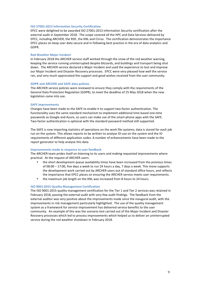#### **ISO 27001:2013 Information Security Certification**

EPCC were delighted to be awarded ISO 27001:2013 Information Security certification after the external audit in September 2018. The scope covered all the HPC and Data Services delivered by EPCC, including ARCHER, the RDF, the KNL and Cirrus. The certification demonstrates the importance EPCC places on keep user data secure and in following best practice in the era of data analytics and GDPR. 

#### **Red Weather Major Incident**

In February 2018 the ARCHER service staff worked through the snow of the red weather warning, keeping the service running uninterrupted despite blizzards, and buildings and transport being shut down. The ARCHER service declared a Major Incident and used the experience to test and improve our Major Incident and Disaster Recovery processes. EPCC were very pleased how well the service ran, and very much appreciated the support and good wishes received from the user community.

#### **GDPR and ARCHER and SAFE data policies**

The ARCHER service policies were reviewed to ensure they comply with the requirements of the General Data Protection Regulation (GDPR), to meet the deadline of 25 May 2018 when the new legislation came into use.

#### **SAFE** improvements

Changes have been made to the SAFE to enable it to support two-factor authentication. The functionality uses the same standard mechanism to implement additional time based one-time passwords as Google and Azure, so users can make use of the smart-phone apps with the SAFE. Two-factor authentication is optional with the standard password method still supported.

The SAFE is now importing statistics of operations on the work file-systems; data is stored for each job run on the system. This allows reports to be written to analyse IO-use on the system and the IO requirements of different application codes. A number of enhancements have been made to the report generator to help analyse this data.

#### **Improvements made in response to user feedback**

The ARCHER team prides itself on listening to its users and making requested improvements where practical. At the request of ARCHER users:

- the short development queue availability times have been increased from the previous times of  $08:00 - 17:00$ , five days a week to run 24 hours a day, 7 days a week. This move supports the development work carried out by ARCHER users out of standard office hours, and reflects the importance that EPCC places on ensuring the ARCHER service meets user requirements.
- the maximum job length on the KNL was increased from 8 hours to 24 hours.

#### **ISO 9001:2015 Quality Management Certification**

The ISO 9001:2015 quality management certification for the Tier 1 and Tier 2 services was retained in February 2018, passing the external audit with very few audit findings. The feedback from the external auditor was very positive about the improvements made since the inaugural audit, with the improvements in risk management particularly highlighted. The use of the quality management system as a framework for service improvement has delivered service benefits to the user community. An example of this was the scenario test carried out of the Major Incident and Disaster Recovery processes which led to process improvements which helped us to deliver an uninterrupted service during the red weather shutdown in February 2018.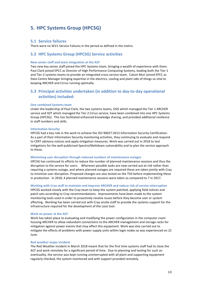# **5. HPC Systems Group (HPCSG)**

#### **5.1 Service failures**

There were no SEV1 Service Failures in the period as defined in the metric.

### **5.2 HPC Systems Group (HPCSG) Service activities**

#### **New senior staff and team integration at the ACF**

Two new key senior staff joined the HPC Systems team, bringing a wealth of experience with them. Paul Clark joined EPCC as Director of High Performance Computing Systems, leading both the Tier-1 and Tier-2 systems teams to provide an integrated cross-service team. Calum Muir joined EPCC as Data Centre Manager bringing expertise in the electrics, cooling and plant side of things so vital to keeping ARCHER and Cirrus running optimally.

### **5.3** Principal activities undertaken (in addition to day-to-day operational **activities) included:**

#### **One combined Systems team**

Under the leadership of Paul Clark, the two systems teams, OSG which managed the Tier 1 ARCHER service and SDT which managed the Tier 2 Cirrus service, have been combined into one HPC Systems Group (HPCSG). This has facilitated enhanced knowledge sharing, and provided additional resilience in staff numbers and skills.

#### **Information Security**

HPCSG had a key role in the work to achieve the ISO 90027:2013 Information Security Certification. As a part of their Information Security monitoring activities, they continuing to evaluate and respond to CERT advisory notices and apply mitigation measures. Work was carried out in 2018 to test mitigations for the well-publicised Spectre/Meltdown vulnerability and to plan the service approach to these.

#### **Minimising user disruption through reduced numbers of maintenance outages**

HPCSG has continued its efforts to reduce the number of planned maintenance sessions and thus the disruption to the service for users. Wherever possible tasks are now carried out at risk rather than requiring a systems outage, and where planned outages are required these are taken jointly with Cray to minimise user disruption. Proposed changes are also tested on the TDS before implementing these in production. In 2018, 4 planned maintenance sessions were taken as compared to 7 in 2017.

#### **Working with Cray staff to maintain and improve ARCHER and reduce risk of service interruption**

HPCSG worked closely with the Cray team to keep the system patched, applying field notices and patch sets according to Cray recommendations. Improvements have been made to the system monitoring tools used in order to proactively resolve issues before they become user or system affecting. Working has been carried out with Cray onsite staff to provide the systems support for the infrastructure required for the development of the Lassi tool.

#### **Work on power at the ACF**

Work has taken place to evaluating and modifying the power configuration in the computer room housing ARCHER to allow redundant connections to the ARCHER management and storage racks for mitigation against power events that may affect this equipment. Work was also carried out to mitigate the effects of problems with power supply units within login nodes as was experienced on 22 June.

#### **Red weather major incident**

The Red Weather incident in March 2018 meant that for the first time systems staff had to close the ACF and work remotely for a significant period of time. Due to planning and testing for such an eventuality, the service was kept running uninterrupted with all plant and supporting equipment regularly checked, the system monitored and with support provided remotely.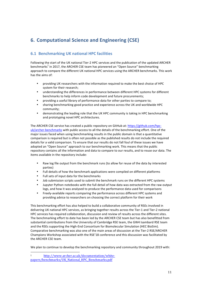# **6. Computational Science and Engineering (CSE)**

# **6.1 Benchmarking UK national HPC facilities**

Following the start of the UK national Tier-2 HPC services and the publication of the updated ARCHER benchmarks<sup>1</sup> in 2017, the ARCHER CSE team has pioneered an "Open Source" benchmarking approach to compare the different UK national HPC services using the ARCHER benchmarks. This work has the aims of:

- providing UK researchers with the information required to make the best choice of HPC system for their research;
- understanding the differences in performance between different HPC systems for different benchmarks to help inform code development and future procurements;
- providing a useful library of performance data for other parties to compare to;
- sharing benchmarking good practice and experience across the UK and worldwide HPC community;
- demonstrating the leading role that the UK HPC community is taking in HPC benchmarking and prototyping novel HPC architectures.

The ARCHER CSE service has created a public repository on GitHub at: https://github.com/hpcuk/archer-benchmarks with public access to all the details of the benchmarking effort. One of the major issues faced when using benchmarking results in the public domain is that a quantitative comparison is required but is often not possible as the published results do not include the required details for a valid comparison. To ensure that our results do not fall foul of these issues we have adopted an "Open Source" approach to our benchmarking work. This means that the public repository contains all the information and data to compare to our results, and to reuse our data. The items available in the repository include:

- Raw log file output from the benchmark runs (to allow for reuse of the data by interested parties)
- Full details of how the benchmark applications were compiled on different platforms
- Full sets of input data for the benchmarks
- Job submission scripts used to submit the benchmark runs on the different HPC systems
- Jupyter Python notebooks with the full detail of how data was extracted from the raw output logs, and how it was analysed to produce the performance data used for comparisons
- Freely-available reports comparing the performance across different HPC systems and providing advice to researchers on choosing the correct platform for their work

This benchmarking effort has also helped to build a collaborative community of RSEs involved in delivering UK national HPC services, as bringing together results across the Tier-1 and Tier-2 national HPC services has required collaboration, discussion and review of results across the different sites. The benchmarking effort to date has been led by the ARCHER CSE team but has also benefitted from substantial contributions from the University of Cambridge RSE team, the GW4 Isambard RSE team and the RSEs supporting the High-End Consortium for Biomolecular Simulation (HEC BioSim). Comparative benchmarking was also one of the main areas of discussion at the Tier-2 RSE/ARCHER Champions Workshop associated with the RSE'18 conference and this discussion was facilitated by the ARCHER CSE team.

We plan to continue to develop the benchmarking repository and community throughout 2019 with:

 <sup>1</sup> http://www.archer.ac.uk/documentation/whitepapers/benchmarks/UK\_National\_HPC\_Benchmarks.pdf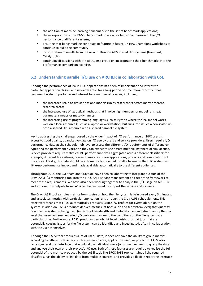- the addition of machine learning benchmarks to the set of benchmark applications;
- the incorporation of the IO-500 benchmark to allow for better comparison of the I/O performance of different systems;
- ensuring that benchmarking continues to feature in future UK HPC Champions workshops to continue to build the community;
- incorporation of results from the new multi-node ARM-based HPC systems (Isambard, Catalyst UK);
- continuing discussions with the DIRAC RSE group on incorporating their benchmarks into the performance comparison exercise.

# **6.2 Understanding parallel I/O use on ARCHER in collaboration with CoE**

Although the performance of I/O in HPC applications has been of importance and interest to particular application classes and research areas for a long period of time, more recently it has become of wider importance and interest for a number of reasons, including:

- the increased scale of simulations and models run by researchers across many different research areas;
- the increased use of statistical methods that involve high numbers of model runs (e.g. parameter sweeps or meta-dynamics);
- the increasing use of programming languages such as Python where the I/O model works well on a local resource (such as a laptop or workstation) but runs into issues when scaled up onto a shared HPC resource with a shared parallel file system.

Key to addressing the challenges posed by the wider impact of I/O performance on HPC users is access to good quality, quantitative data on I/O use by users and service providers. Users require I/O performance data at the scheduler job level to assess the different I/O requirements of different run types and the performance variation they can expect to see across multiple instances of similar runs. Service providers require statistical I/O performance data aggregated across different classifiers; for example, different file systems, research areas, software applications, projects and combinations of the above. Ideally, this data should be automatically collected for all jobs run on the HPC system with little/no performance impact and made available automatically to the different audiences.

Throughout 2018, the CSE team and Cray CoE have been collaborating to integrate outputs of the Cray LASSi I/O monitoring tool into the EPCC SAFE service management and reporting framework to meet these requirements. We have also been working together to analyse the I/O usage on ARCHER and explore how outputs from LASSi can be best used to support the service and its users.

The Cray LASSi tool samples metrics from Lustre on how the file system is being used every 3 minutes, and associates metrics with particular application runs through the Cray ALPS scheduler logs. This effectively means that LASSi automatically produces Lustre I/O profiles for every job run on the system. In addition, LASSi produces derived metrics (at both a job and file system level) that quantify how the file system is being used (in terms of bandwidth and metadata use) and also quantify the risk level that users will see degraded I/O performance due to the conditions on the file system at a particular time. Furthermore, LASSi produces per-job risk level metrics, so that jobs that are potentially causing issues for the file system can be identified and investigated, often in collaboration with the user themselves.

Although the LASSi tool produces a lot of useful data, it does not have the ability to group metrics according to different classifiers, such as research area, application used, or project ID. LASSi also lacks a general user interface that would allow individual users (or project leaders) to query the data and analyse their own or their project's I/O use. Both of these features are required to realise the full potential of the metrics produced by the LASSi tool. The EPCC SAFE tool contains all the required classifiers, has the ability to link data from multiple sources, and provides a flexible reporting interface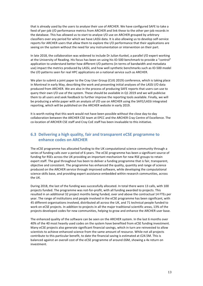that is already used by the users to analyse their use of ARCHER. We have configured SAFE to take a feed of per-job I/O performance metrics from ARCHER and link these to the other per-job records in the database. This has allowed us to start to analyse I/O use on ARCHER grouped by arbitrary classifiers over any period for which we have LASSi data. It is also allowing us to develop self-service reports for ARCHER users that allow them to explore the I/O performance that their applications are seeing on the system without the need for any instrumentation or intervention on their part.

In late 2018, the collaboration was widened to include Dr Julian Kunkel, a parallel I/O expert working at the University of Reading. His focus has been on using his IO-500 benchmark to provide a "control" application to understand better how different I/O patterns (in terms of bandwidth and metadata use) impact the metrics produced by LASSi, and how well synthetic benchmarks such as IO-500 model the I/O patterns seen for real HPC applications on a national service such as ARCHER.

We plan to submit a joint paper to the Cray User Group (CUG 2019) conference, which is taking place in Montreal in early May, describing the work and presenting initial analyses of the LASSi I/O data produced from ARCHER. We are also in the process of producing SAFE reports that users can use to query their own I/O use of the system. These should be available in Q1 2019 and we will publicise them to all users and seek feedback to further improve the reporting tools available. Finally, we will be producing a white paper with an analysis of I/O use on ARCHER using the SAFE/LASSi integrated reporting, which will be published on the ARCHER website in early 2019.

It is worth noting that this work would not have been possible without the close day-to-day collaboration between the ARCHER CSE team at EPCC and the ARCHER Cray Centre of Excellence. The co-location of ARCHER CSE staff and Cray CoE staff has been invaluable to this initiative.

# **6.3** Delivering a high quality, fair and transparent eCSE programme to **enhance codes on ARCHER**

The eCSE programme has allocated funding to the UK computational science community through a series of funding calls over a period of 6 years. The eCSE programme has been a significant source of funding for RSEs across the UK providing an important mechanism for new RSE groups to retain expert staff. The goal throughout has been to deliver a funding programme that is fair, transparent, objective and consistent. The programme has enhanced the quality, quantity and range of science produced on the ARCHER service through improved software, while developing the computational science skills base, and providing expert assistance embedded within research communities, across the UK.

During 2018, the last of the funding was successfully allocated. In total there were 13 calls, with 100 projects funded. The programme was not-for-profit, with all funding awarded to projects. This resulted in an additional 32 project months being funded, over and above the contractual 14 FTEs per year. The range of institutions and people involved in the eCSE programme has been significant, with 45 different organisations involved, distributed all across the UK, and 71 technical people funded to work on eCSE projects. In addition to projects in all the major traditional scientific areas, 13% of the projects developed codes for new communities, helping to grow and enhance the ARCHER user base.

The enhanced quality of the software can be seen on the ARCHER system. In the last 6 months over 40% of the 40 most heavily used codes on the system have benefited from eCSE funding investment. Many eCSE projects also generate significant financial savings, which in turn are reinvested to allow scientists to achieve enhanced science from the same amount of resource. While not all projects contribute to this particular benefit, to date the financial saving is estimated at £24.5M. This is balanced against an overall cost of the eCSE programme of around £6M, showing a 4x return on investment.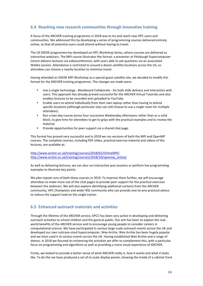# **6.4** Reaching new research communities through innovative training

A focus of the ARCHER training programme in 2018 was to try and reach new HPC users and communities. We addressed this by developing a series of programming courses delivered entirely online, so that all potential users could attend without having to travel.

The US XSEDE programme has developed an HPC Workshop Series, where courses are delivered as interactive webinars. The MPI course illustrates the format: a presenter at Pittsburgh Supercomputer Centre delivers lectures via videoconference, with users able to ask questions via an associated WebEx session. Attendance is restricted to around a dozen satellite locations across the US, so attendees can choose a nearby location to minimise travel.

Having attended an XSEDE MPI Workshop as a special guest satellite site, we decided to modify this format for the ARCHER training programme. The changes we made were:

- Use a single technology Blackboard Collaborate for both slide delivery and interaction with users. This approach has already proved successful for the ARCHER Virtual Tutorials and also enables lectures to be recorded and uploaded to YouTube.
- Enable users to attend individually from their own laptop rather than having to attend specific locations (although particular sites can still choose to use a single room for multiple attendees).
- Run a two-day course across four successive Wednesday afternoons rather than as a solid block, to give time for attendees to get to grips with the practical examples and to review the material.
- Provide opportunities for peer support via a shared chat page.

This format has proved very successful and in 2018 we ran versions of both the MPI and OpenMP courses. The complete courses, including PDF slides, practical exercise material and videos of the lectures, are available at:

http://www.archer.ac.uk/training/courses/2018/01/OnlineMPI/ http://www.archer.ac.uk/training/courses/2018/10/openmp\_online/

As well as delivering lectures, we can also run interactive quiz sessions or perform live programming examples to illustrate key points.

We plan repeat runs of both these courses in 2019. To improve them further, we will encourage attendees to make more use of the chat pages to provide peer support for the practical exercises between the webinars. We will also explore identifying additional contacts from the ARCHER community, HPC Champions and wider RSE community who can provide one-to-one practical advice to reduce the support load on the single trainer.

# **6.5 Enhanced outreach materials and activities**

Through the lifetime of the ARCHER service, EPCC has been very active in developing and delivering outreach activities to school children and the general public. Our aim has been to explain the realworld benefits of the ARCHER service and to encourage young people to consider careers in computational science. We have participated in various large-scale outreach events across the UK and developed our own suitcase-sized Supercomputer, Wee Archie. Wee Archie has been hugely popular and we have used it at various events across the UK. Having established Wee Archie and a range of demos, in 2018 we focused on enhancing the activities we offer to complement this, with a particular focus on programming and algorithms as well as providing a more visual experience of ARCHER.

Firstly, we looked to provide a better sense of what ARCHER really is, how it works and what it looks like. To do this we have produced a set of to-scale display panels, showing the inside of a cabinet front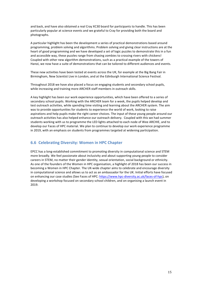and back, and have also obtained a real Cray XC30 board for participants to handle. This has been particularly popular at science events and we grateful to Cray for providing both the board and photographs. 

A particular highlight has been the development a series of practical demonstrations based around programming, problem solving and algorithms. Problem solving and giving clear instructions are at the heart of good programming and we have developed a set of logic puzzles to demonstrate this in a fun and accessible way, these puzzles range from chasing zombies to crossing rivers with chickens! Coupled with other new algorithm demonstrations, such as a practical example of the towers of Hanoi, we now have a suite of demonstrations that can be tailored to different audiences and events.

These new activities have been tested at events across the UK, for example at the Big Bang Fair in Birmingham, New Scientist Live in London, and at the Edinburgh International Science Festival.

Throughout 2018 we have also placed a focus on engaging students and secondary school pupils, while increasing and training more ARCHER staff members in outreach skills.

A key highlight has been our work experience opportunities, which have been offered to a series of secondary school pupils. Working with the ARCHER team for a week, the pupils helped develop and test outreach activities, while spending time visiting and learning about the ARCHER system. The aim was to provide opportunities for students to experience the world of work, looking to raise aspirations and help pupils make the right career choices. The input of these young people around our outreach activities has also helped enhance our outreach delivery. Coupled with this we had summer students working with us to programme the LED lights attached to each node of Wee ARCHIE, and to develop our Faces of HPC material. We plan to continue to develop our work experience programme in 2019, with an emphasis on students from programmes targeted at widening participation.

### **6.6 Celebrating Diversity: Women in HPC Chapter**

EPCC has a long-established commitment to promoting diversity in computational science and STEM more broadly. We feel passionate about inclusivity and about supporting young people to consider careers in STEM, no matter their gender identity, sexual orientation, social background or ethnicity. As one of the founders of the Women in HPC organisation, a highlight of 2018 has been our success in becoming a Women in HPC Chapter. The UK-wide chapter aims to celebrate and encourage diversity in computational science and allows us to act as an ambassador for the UK. Initial efforts have focused on enhancing our case studies (See Faces of HPC: https://www.hpc-diversity.ac.uk/faces-of-hpc), on developing a workshop focused on secondary school children, and on organising a launch event in 2019.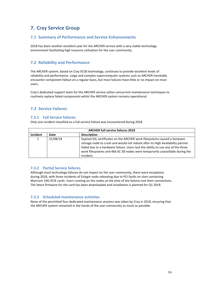# **7. Cray Service Group**

# **7.1 Summary of Performance and Service Enhancements**

2018 has been another excellent year for the ARCHER service with a very stable technology environment facilitating high resource utilisation for the user community.

# **7.2 Reliability and Performance**

The ARCHER system, based on Cray XC30 technology, continues to provide excellent levels of reliability and performance. Large and complex supercomputer systems such as ARCHER inevitably encounter component fallout on a regular basis, but most failures have little or no impact on most users. 

Cray's dedicated support team for the ARCHER service utilise concurrent maintenance techniques to routinely replace failed components whilst the ARCHER system remains operational.

# **7.3 Service Failures**

### **7.3.1 Full Service failures**

Only one incident classified as a full-service failure was encountered during 2018.

| <b>ARCHER full service failures 2018</b> |                            |                                                                                                                                                                                                                                                                                                                                              |  |
|------------------------------------------|----------------------------|----------------------------------------------------------------------------------------------------------------------------------------------------------------------------------------------------------------------------------------------------------------------------------------------------------------------------------------------|--|
| Incident                                 | <b>Description</b><br>Date |                                                                                                                                                                                                                                                                                                                                              |  |
| 1                                        | 21/08/18                   | Expired SSL certificates on the ARCHER work filesystems caused a Sonexion<br>storage node to crash and would not reboot after its High Availability partner<br>failed due to a hardware failure. Users lost the ability to use one of the three<br>work filesystems and 466 XC-30 nodes were temporarily unavailable during the<br>incident. |  |

### **7.3.2 Partial Service failures**

Although most technology failures do not impact on the user community, there were exceptions during 2018, with three incidents of Eslogin node rebooting due to PCI faults on slots containing Myricom 10G-PCIE cards. Users running on the nodes at the time of the failures lost their connections. The latest firmware for the card has been downloaded and installation is planned for Q1 2019.

### **7.3.3 Scheduled maintenance activities**

None of the permitted four dedicated maintenance sessions was taken by Cray in 2018, ensuring that the ARCHER system remained in the hands of the user community as much as possible.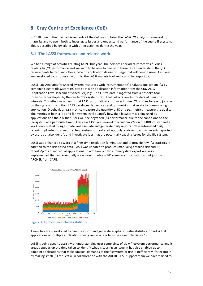# **8.** Cray Centre of Excellence (CoE)

In 2018, one of the main achievements of the CoE was to bring the LASSi I/O analysis framework to maturity and to use it both to investigate issues and understand performance of the Lustre filesystem. This is described below along with other activities during the year.

### **8.1 The LASSi framework and related work**

We had a range of activities relating to I/O this year. The helpdesk periodically receives queries relating to I/O performance and we want to be able to deal with these faster, understand the I/O requirements better, and offer advice on application design or usage that will benefit users. Last year we developed tools to assist with this: the LASSi analysis tool and a profiling report tool.

LASSi (Log Analytics for Shared System resources with instrumentation) analyses application I/O by combining Lustre filesystem I/O statistics with application information from the Cray ALPS (Application Level Placement Scheduler) logs. The Lustre data is ingested from a bespoke tool (previously developed by the onsite Cray system staff) that collects raw Lustre data at 3 minute intervals. This effectively means that LASSi automatically produces Lustre I/O profiles for *every* job run on the system. In addition, LASSi produces derived *risk* and *ops* metrics that relate to unusually high application IO behaviour. *risk* metrics measure the quantity of IO and *ops* metrics measure the quality. The metrics at both a job and file system level quantify how the file system is being used by applications and the *risk* that users will see degraded I/O performance due to the conditions on the file system at a particular time. This year LASSI was moved to a custom VM on the RDF cluster and a workflow created to ingest data, analyse data and generate daily reports. New automated daily reports (uploaded to a website) help system support staff not only analyse slowdown events reported by users but also identify and investigate jobs that are potentially causing issues for the file system.

LASSi was enhanced to work at a finer time resolution (6 minutes) and to provide raw I/O statistics in addition to the risk-based data. LASSi was updated to produce (manually) detailed risk and IO reports/plots of individual applications. In addition, a new summary data export was also implemented that will eventually allow users to obtain I/O summary information about jobs on ARCHER from SAFE.





A new tool was developed to directly export and generate graphs of Lustre statistics for individual applications or multiple applications being run as a task farm (see example Figure 1).

LASSi is being used to assist with understanding user complaints of slow filesystem performance and it greatly speeds up the time taken to identify what is causing an issue. It has also enabled us to pinpoint applications that make unusual demands of the filesystem or use it inefficiently (for example by making small I/O requests). In collaboration with the ARCHER CSE support team we have started to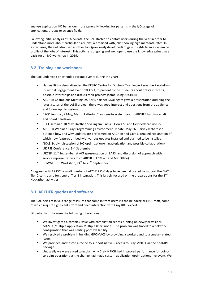analyse application I/O behaviour more generally, looking for patterns in the I/O usage of applications, groups or science fields.

Following initial analysis of LASSi data, the CoE started to contact users during the year in order to understand more about particular risky jobs; we started with jobs showing high metadata rates. In some cases, the CoE also used another tool (previously developed) to gain insights from a system call profile of the jobs of interest. This activity is ongoing and we hope to use the knowledge gained as a basis for an I/O workshop in 2019.

# **8.2 Training and workshops**

The CoE undertook or attended various events during the year:

- Harvey Richardson attended the EPSRC Centre for Doctoral Training in Pervasive Parallelism Industrial Engagement event, 10 April, to present to the Students about Cray's interests, possible internships and discuss their projects (some using ARCHER)
- ARCHER Champions Meeting, 25 April, Karthee Sivalingam gave a presentation outlining the latest status of the LASSi project, there was good interest and questions from the audience and follow up discussions.
- EPCC Seminar, 9 May, Martin Lafferty (Cray, on-site system team): ARCHER hardware talk and board hands-on
- EPCC seminar, 18 May, Karthee Sivalingam: LASSi How CSE and Helpdesk can use it?
- ARCHER Webinar, Cray Programming Environment Update, May 16. Harvey Richardson outlined how and why updates are performed on ARCHER and gave a detailed explanation of which new features arrived with various updates installed and planned to be installed.
- NCAS, 9 July (discussion of I/O optimization/characterization and possible collaboration)
- UK RSE Conference, 3-4 September
- UKCSF, 11<sup>th</sup> September at ACF (presentation on LASSi and discussion of approach with service representatives from ARCHER, ECMWF and MetOffice)
- ECMWF HPC Workshop,  $24^{th}$  to  $28^{th}$  September

As agreed with EPRSC, a small number of ARCHER CoE days have been allocated to support the GW4 Tier-2 centre and for general Tier-2 integration. This largely focused on the preparations for the  $2^{nd}$ Hackathon activities.

# **8.3 ARCHER queries and software**

The CoE helps resolve a range of issues that come in from users via the helpdesk or EPCC staff, some of which require significant effort and need interaction with Cray R&D experts.

Of particular note were the following interactions:

- We investigated a complex issue with compilation scripts running on newly provisions MAMU (Multiple Application Multiple User) nodes. The problem was traced to a network configuration that was limiting port availability.
- We resolved a problem in building GROMACS by providing a workaround to a cmake-related issue.
- We provided and tested a recipe to support native R access to Cray MPICH via the pbdMPI package.
- Unusually we were asked to explain why Cray MPICH had improved performance for pointto-point operations as the change had made custom application optimizations irrelevant. We